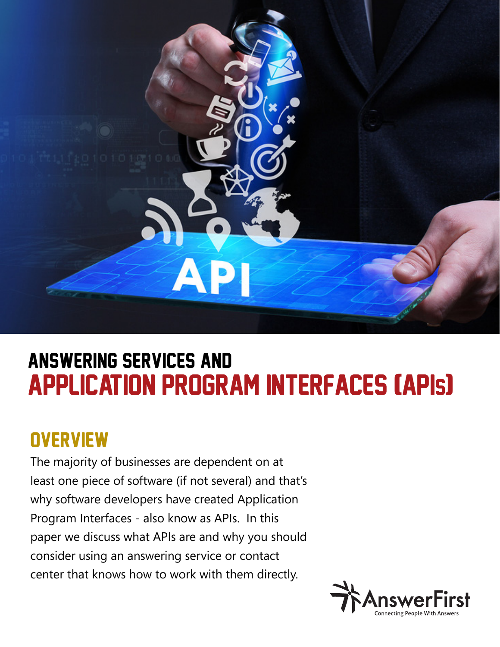

# application program interfaces (APIs) answering services and

## **OVERVIEW**

The majority of businesses are dependent on at least one piece of software (if not several) and that's why software developers have created Application Program Interfaces - also know as APIs. In this paper we discuss what APIs are and why you should consider using an answering service or contact center that knows how to work with them directly.

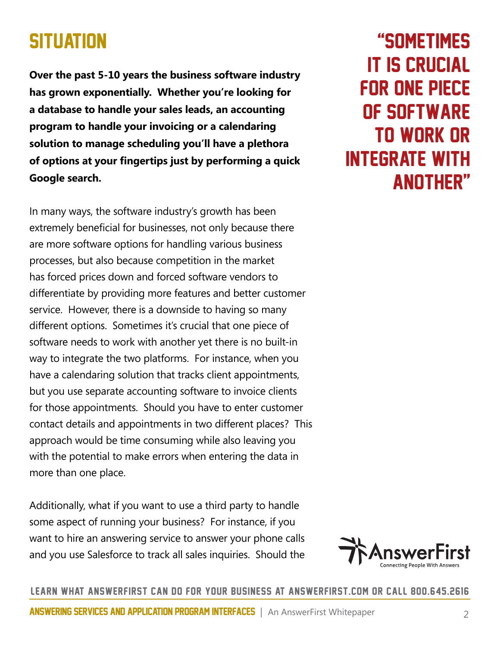### **SITUATION**

**Over the past 5-10 years the business software industry has grown exponentially. Whether you're looking for a database to handle your sales leads, an accounting program to handle your invoicing or a calendaring solution to manage scheduling you'll have a plethora of options at your fingertips just by performing a quick Google search.** 

In many ways, the software industry's growth has been extremely beneficial for businesses, not only because there are more software options for handling various business processes, but also because competition in the market has forced prices down and forced software vendors to differentiate by providing more features and better customer service. However, there is a downside to having so many different options. Sometimes it's crucial that one piece of software needs to work with another yet there is no built-in way to integrate the two platforms. For instance, when you have a calendaring solution that tracks client appointments, but you use separate accounting software to invoice clients for those appointments. Should you have to enter customer contact details and appointments in two different places? This approach would be time consuming while also leaving you with the potential to make errors when entering the data in more than one place.

Additionally, what if you want to use a third party to handle some aspect of running your business? For instance, if you want to hire an answering service to answer your phone calls and you use Salesforce to track all sales inquiries. Should the

"sometimes it is crucial for one piece of software to work or integrate with another"



#### learn what answerfirst can do for your business at answerfirst.com or call 800.645.2616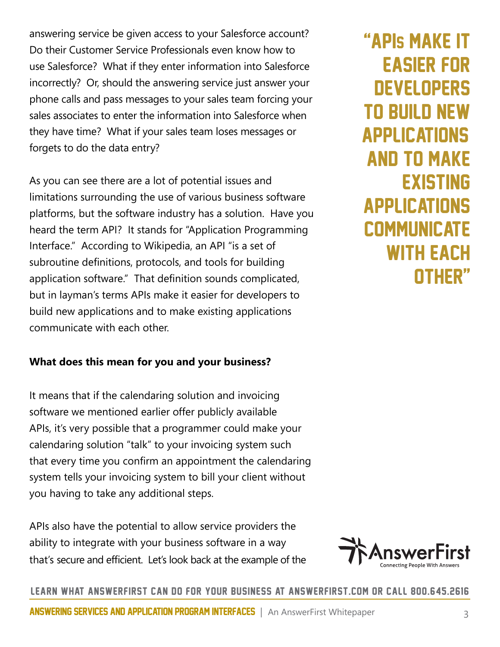answering service be given access to your Salesforce account? Do their Customer Service Professionals even know how to use Salesforce? What if they enter information into Salesforce incorrectly? Or, should the answering service just answer your phone calls and pass messages to your sales team forcing your sales associates to enter the information into Salesforce when they have time? What if your sales team loses messages or forgets to do the data entry?

As you can see there are a lot of potential issues and limitations surrounding the use of various business software platforms, but the software industry has a solution. Have you heard the term API? It stands for "Application Programming Interface." According to Wikipedia, an API "is a set of subroutine definitions, protocols, and tools for building application software." That definition sounds complicated, but in layman's terms APIs make it easier for developers to build new applications and to make existing applications communicate with each other.

#### **What does this mean for you and your business?**

It means that if the calendaring solution and invoicing software we mentioned earlier offer publicly available APIs, it's very possible that a programmer could make your calendaring solution "talk" to your invoicing system such that every time you confirm an appointment the calendaring system tells your invoicing system to bill your client without you having to take any additional steps.

APIs also have the potential to allow service providers the ability to integrate with your business software in a way that's secure and efficient. Let's look back at the example of the

"apis make it easier for **DEVELOPERS** to build new **APPLICATIONS** and to make **EXISTING** applications **COMMUNICATE** WITH FACH other"



learn what answerfirst can do for your business at answerfirst.com or call 800.645.2616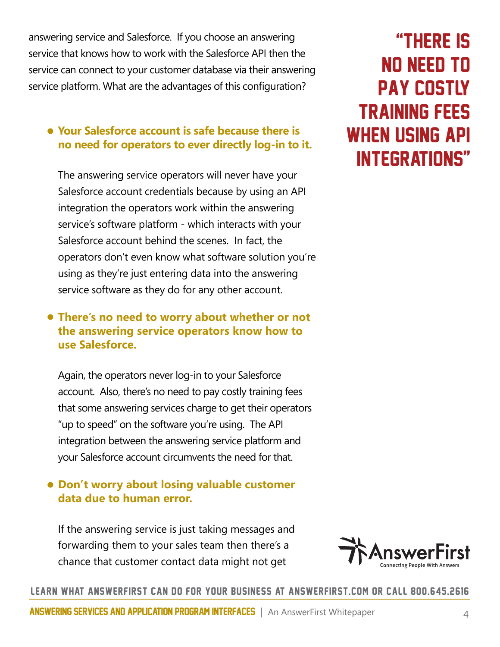answering service and Salesforce. If you choose an answering service that knows how to work with the Salesforce API then the service can connect to your customer database via their answering service platform. What are the advantages of this configuration?

### • **Your Salesforce account is safe because there is no need for operators to ever directly log-in to it.**

The answering service operators will never have your Salesforce account credentials because by using an API integration the operators work within the answering service's software platform - which interacts with your Salesforce account behind the scenes. In fact, the operators don't even know what software solution you're using as they're just entering data into the answering service software as they do for any other account.

#### • **There's no need to worry about whether or not the answering service operators know how to use Salesforce.**

Again, the operators never log-in to your Salesforce account. Also, there's no need to pay costly training fees that some answering services charge to get their operators "up to speed" on the software you're using. The API integration between the answering service platform and your Salesforce account circumvents the need for that.

### • **Don't worry about losing valuable customer data due to human error.**

If the answering service is just taking messages and forwarding them to your sales team then there's a chance that customer contact data might not get



#### learn what answerfirst can do for your business at answerfirst.com or call 800.645.2616

### "there is no need to pay costly training fees when using api integrations"